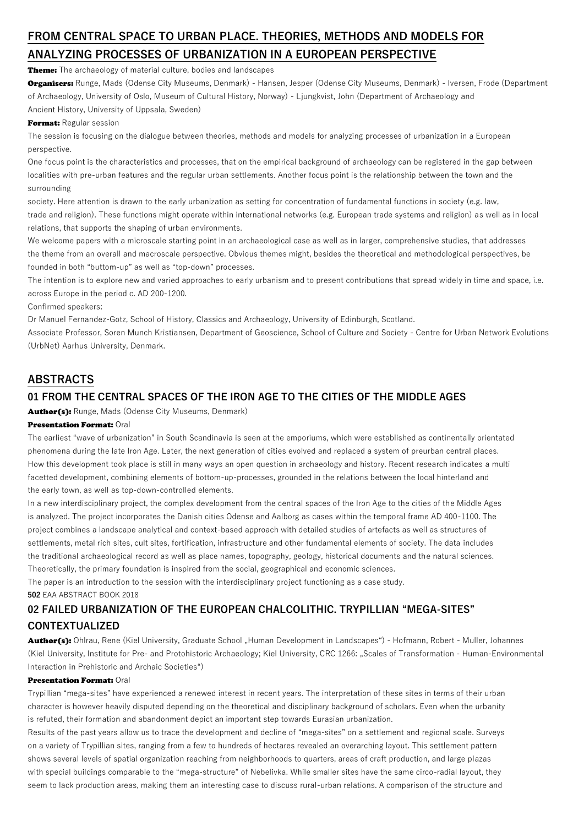# **FROM CENTRAL SPACE TO URBAN PLACE. THEORIES, METHODS AND MODELS FOR ANALYZING PROCESSES OF URBANIZATION IN A EUROPEAN PERSPECTIVE**

Theme: The archaeology of material culture, bodies and landscapes

Organisers: Runge, Mads (Odense City Museums, Denmark) - Hansen, Jesper (Odense City Museums, Denmark) - Iversen, Frode (Department of Archaeology, University of Oslo, Museum of Cultural History, Norway) - Ljungkvist, John (Department of Archaeology and Ancient History, University of Uppsala, Sweden)

### Format: Regular session

The session is focusing on the dialogue between theories, methods and models for analyzing processes of urbanization in a European perspective.

One focus point is the characteristics and processes, that on the empirical background of archaeology can be registered in the gap between localities with pre-urban features and the regular urban settlements. Another focus point is the relationship between the town and the surrounding

society. Here attention is drawn to the early urbanization as setting for concentration of fundamental functions in society (e.g. law, trade and religion). These functions might operate within international networks (e.g. European trade systems and religion) as well as in local relations, that supports the shaping of urban environments.

We welcome papers with a microscale starting point in an archaeological case as well as in larger, comprehensive studies, that addresses the theme from an overall and macroscale perspective. Obvious themes might, besides the theoretical and methodological perspectives, be founded in both "buttom-up" as well as "top-down" processes.

The intention is to explore new and varied approaches to early urbanism and to present contributions that spread widely in time and space, i.e. across Europe in the period c. AD 200-1200.

#### Confirmed speakers:

Dr Manuel Fernandez-Gotz, School of History, Classics and Archaeology, University of Edinburgh, Scotland.

Associate Professor, Soren Munch Kristiansen, Department of Geoscience, School of Culture and Society - Centre for Urban Network Evolutions (UrbNet) Aarhus University, Denmark.

## **ABSTRACTS**

### **01 FROM THE CENTRAL SPACES OF THE IRON AGE TO THE CITIES OF THE MIDDLE AGES**

Author(s): Runge, Mads (Odense City Museums, Denmark)

### Presentation Format: Oral

The earliest "wave of urbanization" in South Scandinavia is seen at the emporiums, which were established as continentally orientated phenomena during the late Iron Age. Later, the next generation of cities evolved and replaced a system of preurban central places. How this development took place is still in many ways an open question in archaeology and history. Recent research indicates a multi facetted development, combining elements of bottom-up-processes, grounded in the relations between the local hinterland and the early town, as well as top-down-controlled elements.

In a new interdisciplinary project, the complex development from the central spaces of the Iron Age to the cities of the Middle Ages is analyzed. The project incorporates the Danish cities Odense and Aalborg as cases within the temporal frame AD 400-1100. The project combines a landscape analytical and context-based approach with detailed studies of artefacts as well as structures of settlements, metal rich sites, cult sites, fortification, infrastructure and other fundamental elements of society. The data includes the traditional archaeological record as well as place names, topography, geology, historical documents and the natural sciences. Theoretically, the primary foundation is inspired from the social, geographical and economic sciences.

The paper is an introduction to the session with the interdisciplinary project functioning as a case study. **502** EAA ABSTRACT BOOK 2018

# **02 FAILED URBANIZATION OF THE EUROPEAN CHALCOLITHIC. TRYPILLIAN "MEGA-SITES" CONTEXTUALIZED**

Author(s): Ohlrau, Rene (Kiel University, Graduate School "Human Development in Landscapes") - Hofmann, Robert - Muller, Johannes (Kiel University, Institute for Pre- and Protohistoric Archaeology; Kiel University, CRC 1266: "Scales of Transformation - Human-Environmental Interaction in Prehistoric and Archaic Societies")

### Presentation Format: Oral

Trypillian "mega-sites" have experienced a renewed interest in recent years. The interpretation of these sites in terms of their urban character is however heavily disputed depending on the theoretical and disciplinary background of scholars. Even when the urbanity is refuted, their formation and abandonment depict an important step towards Eurasian urbanization.

Results of the past years allow us to trace the development and decline of "mega-sites" on a settlement and regional scale. Surveys on a variety of Trypillian sites, ranging from a few to hundreds of hectares revealed an overarching layout. This settlement pattern shows several levels of spatial organization reaching from neighborhoods to quarters, areas of craft production, and large plazas with special buildings comparable to the "mega-structure" of Nebelivka. While smaller sites have the same circo-radial layout, they seem to lack production areas, making them an interesting case to discuss rural-urban relations. A comparison of the structure and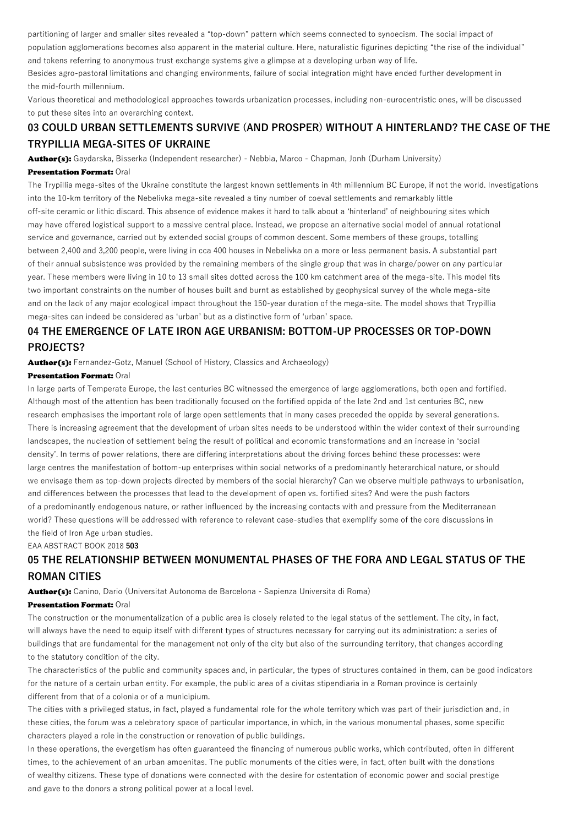partitioning of larger and smaller sites revealed a "top-down" pattern which seems connected to synoecism. The social impact of population agglomerations becomes also apparent in the material culture. Here, naturalistic figurines depicting "the rise of the individual" and tokens referring to anonymous trust exchange systems give a glimpse at a developing urban way of life.

Besides agro-pastoral limitations and changing environments, failure of social integration might have ended further development in the mid-fourth millennium.

Various theoretical and methodological approaches towards urbanization processes, including non-eurocentristic ones, will be discussed to put these sites into an overarching context.

## **03 COULD URBAN SETTLEMENTS SURVIVE (AND PROSPER) WITHOUT A HINTERLAND? THE CASE OF THE TRYPILLIA MEGA-SITES OF UKRAINE**

Author(s): Gaydarska, Bisserka (Independent researcher) - Nebbia, Marco - Chapman, Jonh (Durham University)

### Presentation Format: Oral

The Trypillia mega-sites of the Ukraine constitute the largest known settlements in 4th millennium BC Europe, if not the world. Investigations into the 10-km territory of the Nebelivka mega-site revealed a tiny number of coeval settlements and remarkably little off-site ceramic or lithic discard. This absence of evidence makes it hard to talk about a 'hinterland' of neighbouring sites which may have offered logistical support to a massive central place. Instead, we propose an alternative social model of annual rotational service and governance, carried out by extended social groups of common descent. Some members of these groups, totalling between 2,400 and 3,200 people, were living in cca 400 houses in Nebelivka on a more or less permanent basis. A substantial part of their annual subsistence was provided by the remaining members of the single group that was in charge/power on any particular year. These members were living in 10 to 13 small sites dotted across the 100 km catchment area of the mega-site. This model fits two important constraints on the number of houses built and burnt as established by geophysical survey of the whole mega-site and on the lack of any major ecological impact throughout the 150-year duration of the mega-site. The model shows that Trypillia mega-sites can indeed be considered as 'urban' but as a distinctive form of 'urban' space.

## **04 THE EMERGENCE OF LATE IRON AGE URBANISM: BOTTOM-UP PROCESSES OR TOP-DOWN PROJECTS?**

Author(s): Fernandez-Gotz, Manuel (School of History, Classics and Archaeology)

### Presentation Format: Oral

In large parts of Temperate Europe, the last centuries BC witnessed the emergence of large agglomerations, both open and fortified. Although most of the attention has been traditionally focused on the fortified oppida of the late 2nd and 1st centuries BC, new research emphasises the important role of large open settlements that in many cases preceded the oppida by several generations. There is increasing agreement that the development of urban sites needs to be understood within the wider context of their surrounding landscapes, the nucleation of settlement being the result of political and economic transformations and an increase in 'social density'. In terms of power relations, there are differing interpretations about the driving forces behind these processes: were large centres the manifestation of bottom-up enterprises within social networks of a predominantly heterarchical nature, or should we envisage them as top-down projects directed by members of the social hierarchy? Can we observe multiple pathways to urbanisation, and differences between the processes that lead to the development of open vs. fortified sites? And were the push factors of a predominantly endogenous nature, or rather influenced by the increasing contacts with and pressure from the Mediterranean world? These questions will be addressed with reference to relevant case-studies that exemplify some of the core discussions in the field of Iron Age urban studies.

EAA ABSTRACT BOOK 2018 **503**

# **05 THE RELATIONSHIP BETWEEN MONUMENTAL PHASES OF THE FORA AND LEGAL STATUS OF THE ROMAN CITIES**

Author(s): Canino, Dario (Universitat Autonoma de Barcelona - Sapienza Universita di Roma)

### Presentation Format: Oral

The construction or the monumentalization of a public area is closely related to the legal status of the settlement. The city, in fact, will always have the need to equip itself with different types of structures necessary for carrying out its administration: a series of buildings that are fundamental for the management not only of the city but also of the surrounding territory, that changes according to the statutory condition of the city.

The characteristics of the public and community spaces and, in particular, the types of structures contained in them, can be good indicators for the nature of a certain urban entity. For example, the public area of a civitas stipendiaria in a Roman province is certainly different from that of a colonia or of a municipium.

The cities with a privileged status, in fact, played a fundamental role for the whole territory which was part of their jurisdiction and, in these cities, the forum was a celebratory space of particular importance, in which, in the various monumental phases, some specific characters played a role in the construction or renovation of public buildings.

In these operations, the evergetism has often guaranteed the financing of numerous public works, which contributed, often in different times, to the achievement of an urban amoenitas. The public monuments of the cities were, in fact, often built with the donations of wealthy citizens. These type of donations were connected with the desire for ostentation of economic power and social prestige and gave to the donors a strong political power at a local level.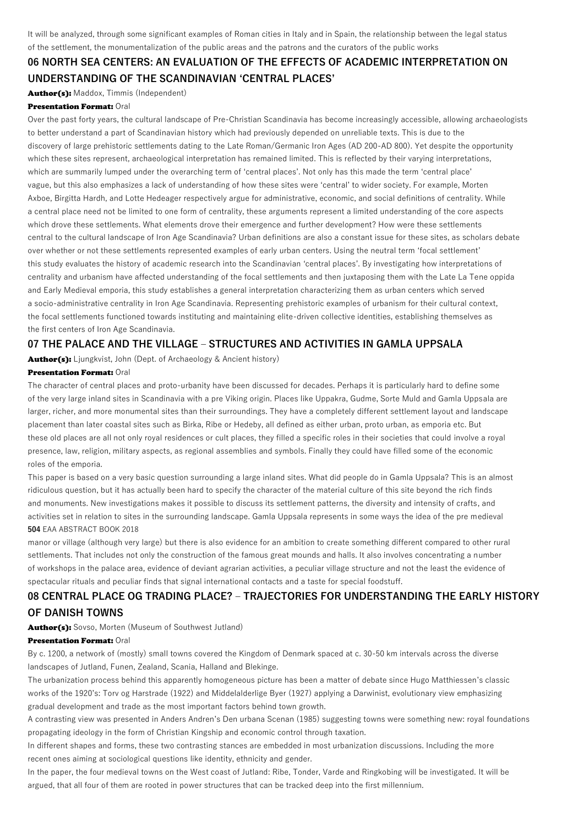It will be analyzed, through some significant examples of Roman cities in Italy and in Spain, the relationship between the legal status of the settlement, the monumentalization of the public areas and the patrons and the curators of the public works

# **06 NORTH SEA CENTERS: AN EVALUATION OF THE EFFECTS OF ACADEMIC INTERPRETATION ON UNDERSTANDING OF THE SCANDINAVIAN 'CENTRAL PLACES'**

Author(s): Maddox, Timmis (Independent)

#### Presentation Format: Oral

Over the past forty years, the cultural landscape of Pre-Christian Scandinavia has become increasingly accessible, allowing archaeologists to better understand a part of Scandinavian history which had previously depended on unreliable texts. This is due to the discovery of large prehistoric settlements dating to the Late Roman/Germanic Iron Ages (AD 200-AD 800). Yet despite the opportunity which these sites represent, archaeological interpretation has remained limited. This is reflected by their varying interpretations, which are summarily lumped under the overarching term of 'central places'. Not only has this made the term 'central place' vague, but this also emphasizes a lack of understanding of how these sites were 'central' to wider society. For example, Morten Axboe, Birgitta Hardh, and Lotte Hedeager respectively argue for administrative, economic, and social definitions of centrality. While a central place need not be limited to one form of centrality, these arguments represent a limited understanding of the core aspects which drove these settlements. What elements drove their emergence and further development? How were these settlements central to the cultural landscape of Iron Age Scandinavia? Urban definitions are also a constant issue for these sites, as scholars debate over whether or not these settlements represented examples of early urban centers. Using the neutral term 'focal settlement' this study evaluates the history of academic research into the Scandinavian 'central places'. By investigating how interpretations of centrality and urbanism have affected understanding of the focal settlements and then juxtaposing them with the Late La Tene oppida and Early Medieval emporia, this study establishes a general interpretation characterizing them as urban centers which served a socio-administrative centrality in Iron Age Scandinavia. Representing prehistoric examples of urbanism for their cultural context, the focal settlements functioned towards instituting and maintaining elite-driven collective identities, establishing themselves as the first centers of Iron Age Scandinavia.

### **07 THE PALACE AND THE VILLAGE – STRUCTURES AND ACTIVITIES IN GAMLA UPPSALA**

Author(s): Ljungkvist, John (Dept. of Archaeology & Ancient history)

### Presentation Format: Oral

The character of central places and proto-urbanity have been discussed for decades. Perhaps it is particularly hard to define some of the very large inland sites in Scandinavia with a pre Viking origin. Places like Uppakra, Gudme, Sorte Muld and Gamla Uppsala are larger, richer, and more monumental sites than their surroundings. They have a completely different settlement layout and landscape placement than later coastal sites such as Birka, Ribe or Hedeby, all defined as either urban, proto urban, as emporia etc. But these old places are all not only royal residences or cult places, they filled a specific roles in their societies that could involve a royal presence, law, religion, military aspects, as regional assemblies and symbols. Finally they could have filled some of the economic roles of the emporia.

This paper is based on a very basic question surrounding a large inland sites. What did people do in Gamla Uppsala? This is an almost ridiculous question, but it has actually been hard to specify the character of the material culture of this site beyond the rich finds and monuments. New investigations makes it possible to discuss its settlement patterns, the diversity and intensity of crafts, and activities set in relation to sites in the surrounding landscape. Gamla Uppsala represents in some ways the idea of the pre medieval **504** EAA ABSTRACT BOOK 2018

manor or village (although very large) but there is also evidence for an ambition to create something different compared to other rural settlements. That includes not only the construction of the famous great mounds and halls. It also involves concentrating a number of workshops in the palace area, evidence of deviant agrarian activities, a peculiar village structure and not the least the evidence of spectacular rituals and peculiar finds that signal international contacts and a taste for special foodstuff.

## **08 CENTRAL PLACE OG TRADING PLACE? – TRAJECTORIES FOR UNDERSTANDING THE EARLY HISTORY OF DANISH TOWNS**

Author(s): Sovso, Morten (Museum of Southwest Jutland)

#### Presentation Format: Oral

By c. 1200, a network of (mostly) small towns covered the Kingdom of Denmark spaced at c. 30-50 km intervals across the diverse landscapes of Jutland, Funen, Zealand, Scania, Halland and Blekinge.

The urbanization process behind this apparently homogeneous picture has been a matter of debate since Hugo Matthiessen's classic works of the 1920's: Torv og Harstrade (1922) and Middelalderlige Byer (1927) applying a Darwinist, evolutionary view emphasizing gradual development and trade as the most important factors behind town growth.

A contrasting view was presented in Anders Andren's Den urbana Scenan (1985) suggesting towns were something new: royal foundations propagating ideology in the form of Christian Kingship and economic control through taxation.

In different shapes and forms, these two contrasting stances are embedded in most urbanization discussions. Including the more recent ones aiming at sociological questions like identity, ethnicity and gender.

In the paper, the four medieval towns on the West coast of Jutland: Ribe, Tonder, Varde and Ringkobing will be investigated. It will be argued, that all four of them are rooted in power structures that can be tracked deep into the first millennium.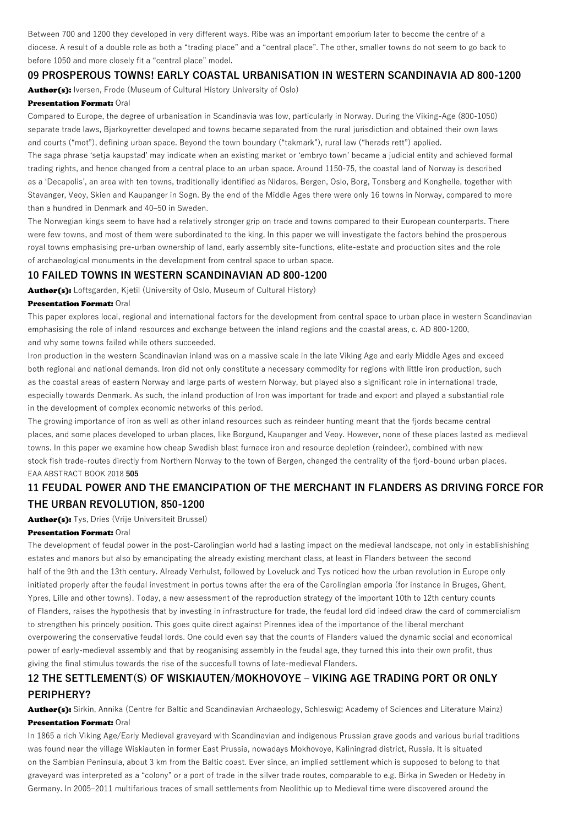Between 700 and 1200 they developed in very different ways. Ribe was an important emporium later to become the centre of a diocese. A result of a double role as both a "trading place" and a "central place". The other, smaller towns do not seem to go back to before 1050 and more closely fit a "central place" model.

### **09 PROSPEROUS TOWNS! EARLY COASTAL URBANISATION IN WESTERN SCANDINAVIA AD 800-1200**

Author(s): Iversen, Frode (Museum of Cultural History University of Oslo)

### Presentation Format: Oral

Compared to Europe, the degree of urbanisation in Scandinavia was low, particularly in Norway. During the Viking-Age (800-1050) separate trade laws, Bjarkoyretter developed and towns became separated from the rural jurisdiction and obtained their own laws and courts ("mot"), defining urban space. Beyond the town boundary ("takmark"), rural law ("herads rett") applied.

The saga phrase 'setja kaupstad' may indicate when an existing market or 'embryo town' became a judicial entity and achieved formal trading rights, and hence changed from a central place to an urban space. Around 1150-75, the coastal land of Norway is described as a 'Decapolis', an area with ten towns, traditionally identified as Nidaros, Bergen, Oslo, Borg, Tonsberg and Konghelle, together with Stavanger, Veoy, Skien and Kaupanger in Sogn. By the end of the Middle Ages there were only 16 towns in Norway, compared to more than a hundred in Denmark and 40–50 in Sweden.

The Norwegian kings seem to have had a relatively stronger grip on trade and towns compared to their European counterparts. There were few towns, and most of them were subordinated to the king. In this paper we will investigate the factors behind the prosperous royal towns emphasising pre-urban ownership of land, early assembly site-functions, elite-estate and production sites and the role of archaeological monuments in the development from central space to urban space.

### **10 FAILED TOWNS IN WESTERN SCANDINAVIAN AD 800-1200**

Author(s): Loftsgarden, Kietil (University of Oslo, Museum of Cultural History)

#### Presentation Format: Oral

This paper explores local, regional and international factors for the development from central space to urban place in western Scandinavian emphasising the role of inland resources and exchange between the inland regions and the coastal areas, c. AD 800-1200, and why some towns failed while others succeeded.

Iron production in the western Scandinavian inland was on a massive scale in the late Viking Age and early Middle Ages and exceed both regional and national demands. Iron did not only constitute a necessary commodity for regions with little iron production, such as the coastal areas of eastern Norway and large parts of western Norway, but played also a significant role in international trade, especially towards Denmark. As such, the inland production of Iron was important for trade and export and played a substantial role in the development of complex economic networks of this period.

The growing importance of iron as well as other inland resources such as reindeer hunting meant that the fjords became central places, and some places developed to urban places, like Borgund, Kaupanger and Veoy. However, none of these places lasted as medieval towns. In this paper we examine how cheap Swedish blast furnace iron and resource depletion (reindeer), combined with new stock fish trade-routes directly from Northern Norway to the town of Bergen, changed the centrality of the fjord-bound urban places. EAA ABSTRACT BOOK 2018 **505**

## **11 FEUDAL POWER AND THE EMANCIPATION OF THE MERCHANT IN FLANDERS AS DRIVING FORCE FOR THE URBAN REVOLUTION, 850-1200**

Author(s): Tys, Dries (Vrije Universiteit Brussel)

### Presentation Format: Oral

The development of feudal power in the post-Carolingian world had a lasting impact on the medieval landscape, not only in establishishing estates and manors but also by emancipating the already existing merchant class, at least in Flanders between the second half of the 9th and the 13th century. Already Verhulst, followed by Loveluck and Tys noticed how the urban revolution in Europe only initiated properly after the feudal investment in portus towns after the era of the Carolingian emporia (for instance in Bruges, Ghent, Ypres, Lille and other towns). Today, a new assessment of the reproduction strategy of the important 10th to 12th century counts of Flanders, raises the hypothesis that by investing in infrastructure for trade, the feudal lord did indeed draw the card of commercialism to strengthen his princely position. This goes quite direct against Pirennes idea of the importance of the liberal merchant overpowering the conservative feudal lords. One could even say that the counts of Flanders valued the dynamic social and economical power of early-medieval assembly and that by reoganising assembly in the feudal age, they turned this into their own profit, thus giving the final stimulus towards the rise of the succesfull towns of late-medieval Flanders.

## **12 THE SETTLEMENT(S) OF WISKIAUTEN/MOKHOVOYE – VIKING AGE TRADING PORT OR ONLY PERIPHERY?**

Author(s): Sirkin, Annika (Centre for Baltic and Scandinavian Archaeology, Schleswig; Academy of Sciences and Literature Mainz) Presentation Format: Oral

In 1865 a rich Viking Age/Early Medieval graveyard with Scandinavian and indigenous Prussian grave goods and various burial traditions was found near the village Wiskiauten in former East Prussia, nowadays Mokhovoye, Kaliningrad district, Russia. It is situated on the Sambian Peninsula, about 3 km from the Baltic coast. Ever since, an implied settlement which is supposed to belong to that graveyard was interpreted as a "colony" or a port of trade in the silver trade routes, comparable to e.g. Birka in Sweden or Hedeby in Germany. In 2005–2011 multifarious traces of small settlements from Neolithic up to Medieval time were discovered around the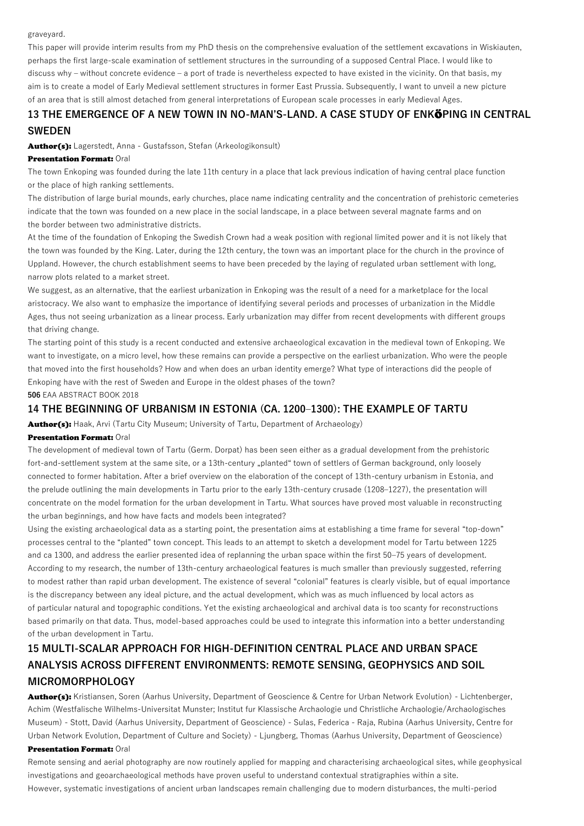graveyard.

This paper will provide interim results from my PhD thesis on the comprehensive evaluation of the settlement excavations in Wiskiauten, perhaps the first large-scale examination of settlement structures in the surrounding of a supposed Central Place. I would like to discuss why – without concrete evidence – a port of trade is nevertheless expected to have existed in the vicinity. On that basis, my aim is to create a model of Early Medieval settlement structures in former East Prussia. Subsequently, I want to unveil a new picture of an area that is still almost detached from general interpretations of European scale processes in early Medieval Ages.

# **13 THE EMERGENCE OF A NEW TOWN IN NO-MAN'S-LAND. A CASE STUDY OF ENK**Ö**PING IN CENTRAL SWEDEN**

Author(s): Lagerstedt, Anna - Gustafsson, Stefan (Arkeologikonsult)

### Presentation Format: Oral

The town Enkoping was founded during the late 11th century in a place that lack previous indication of having central place function or the place of high ranking settlements.

The distribution of large burial mounds, early churches, place name indicating centrality and the concentration of prehistoric cemeteries indicate that the town was founded on a new place in the social landscape, in a place between several magnate farms and on the border between two administrative districts.

At the time of the foundation of Enkoping the Swedish Crown had a weak position with regional limited power and it is not likely that the town was founded by the King. Later, during the 12th century, the town was an important place for the church in the province of Uppland. However, the church establishment seems to have been preceded by the laying of regulated urban settlement with long, narrow plots related to a market street.

We suggest, as an alternative, that the earliest urbanization in Enkoping was the result of a need for a marketplace for the local aristocracy. We also want to emphasize the importance of identifying several periods and processes of urbanization in the Middle Ages, thus not seeing urbanization as a linear process. Early urbanization may differ from recent developments with different groups that driving change.

The starting point of this study is a recent conducted and extensive archaeological excavation in the medieval town of Enkoping. We want to investigate, on a micro level, how these remains can provide a perspective on the earliest urbanization. Who were the people that moved into the first households? How and when does an urban identity emerge? What type of interactions did the people of Enkoping have with the rest of Sweden and Europe in the oldest phases of the town?

**506** EAA ABSTRACT BOOK 2018

### **14 THE BEGINNING OF URBANISM IN ESTONIA (CA. 1200–1300): THE EXAMPLE OF TARTU**

**Author(s):** Haak, Arvi (Tartu City Museum; University of Tartu, Department of Archaeology)

### Presentation Format: Oral

The development of medieval town of Tartu (Germ. Dorpat) has been seen either as a gradual development from the prehistoric fort-and-settlement system at the same site, or a 13th-century "planted" town of settlers of German background, only loosely connected to former habitation. After a brief overview on the elaboration of the concept of 13th-century urbanism in Estonia, and the prelude outlining the main developments in Tartu prior to the early 13th-century crusade (1208–1227), the presentation will concentrate on the model formation for the urban development in Tartu. What sources have proved most valuable in reconstructing the urban beginnings, and how have facts and models been integrated?

Using the existing archaeological data as a starting point, the presentation aims at establishing a time frame for several "top-down" processes central to the "planted" town concept. This leads to an attempt to sketch a development model for Tartu between 1225 and ca 1300, and address the earlier presented idea of replanning the urban space within the first 50–75 years of development. According to my research, the number of 13th-century archaeological features is much smaller than previously suggested, referring to modest rather than rapid urban development. The existence of several "colonial" features is clearly visible, but of equal importance is the discrepancy between any ideal picture, and the actual development, which was as much influenced by local actors as of particular natural and topographic conditions. Yet the existing archaeological and archival data is too scanty for reconstructions based primarily on that data. Thus, model-based approaches could be used to integrate this information into a better understanding of the urban development in Tartu.

# **15 MULTI-SCALAR APPROACH FOR HIGH-DEFINITION CENTRAL PLACE AND URBAN SPACE ANALYSIS ACROSS DIFFERENT ENVIRONMENTS: REMOTE SENSING, GEOPHYSICS AND SOIL MICROMORPHOLOGY**

Author(s): Kristiansen, Soren (Aarhus University, Department of Geoscience & Centre for Urban Network Evolution) - Lichtenberger, Achim (Westfalische Wilhelms-Universitat Munster; Institut fur Klassische Archaologie und Christliche Archaologie/Archaologisches Museum) - Stott, David (Aarhus University, Department of Geoscience) - Sulas, Federica - Raja, Rubina (Aarhus University, Centre for Urban Network Evolution, Department of Culture and Society) - Ljungberg, Thomas (Aarhus University, Department of Geoscience)

#### Presentation Format: Oral

Remote sensing and aerial photography are now routinely applied for mapping and characterising archaeological sites, while geophysical investigations and geoarchaeological methods have proven useful to understand contextual stratigraphies within a site. However, systematic investigations of ancient urban landscapes remain challenging due to modern disturbances, the multi-period